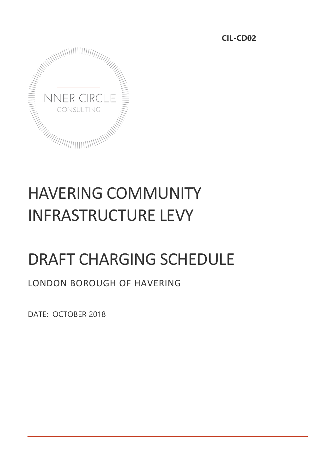**CIL-CD02**



# HAVERING COMMUNITY INFRASTRUCTURE LEVY

## DRAFT CHARGING SCHEDULE

## LONDON BOROUGH OF HAVERING

DATE: OCTOBER 2018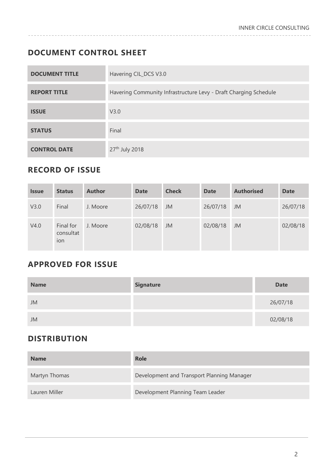## **DOCUMENT CONTROL SHEET**

| <b>DOCUMENT TITLE</b> | Havering CIL_DCS V3.0                                            |
|-----------------------|------------------------------------------------------------------|
| <b>REPORT TITLE</b>   | Havering Community Infrastructure Levy - Draft Charging Schedule |
| <b>ISSUE</b>          | V3.0                                                             |
| <b>STATUS</b>         | Final                                                            |
| <b>CONTROL DATE</b>   | 27 <sup>th</sup> July 2018                                       |

## **RECORD OF ISSUE**

| <b>Issue</b> | <b>Status</b>                 | <b>Author</b> | <b>Date</b> | <b>Check</b> | <b>Date</b> | <b>Authorised</b> | <b>Date</b> |
|--------------|-------------------------------|---------------|-------------|--------------|-------------|-------------------|-------------|
| V3.0         | Final                         | J. Moore      | 26/07/18    | JM           | 26/07/18    | JM                | 26/07/18    |
| V4.0         | Final for<br>consultat<br>ion | J. Moore      | 02/08/18    | JM           | 02/08/18    | JM                | 02/08/18    |

## **APPROVED FOR ISSUE**

| <b>Name</b> | <b>Signature</b> | <b>Date</b> |
|-------------|------------------|-------------|
| <b>JM</b>   |                  | 26/07/18    |
| <b>JM</b>   |                  | 02/08/18    |

### **DISTRIBUTION**

| <b>Name</b>   | <b>Role</b>                                |
|---------------|--------------------------------------------|
| Martyn Thomas | Development and Transport Planning Manager |
| Lauren Miller | Development Planning Team Leader           |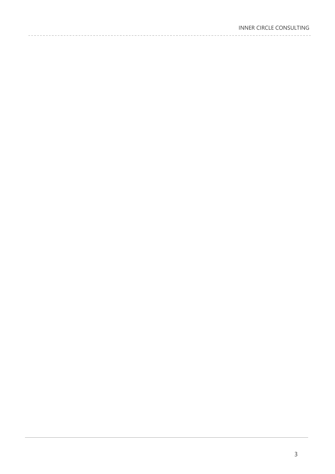#### INNER CIRCLE CONSULTING \_\_\_\_\_\_\_\_\_\_\_\_\_\_\_\_\_\_\_\_\_\_\_\_\_\_\_\_\_

 $- - - -$ 

3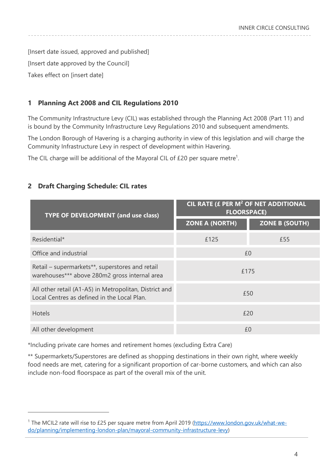[Insert date issued, approved and published] [Insert date approved by the Council] Takes effect on [insert date]

#### **1 Planning Act 2008 and CIL Regulations 2010**

The Community Infrastructure Levy (CIL) was established through the Planning Act 2008 (Part 11) and is bound by the Community Infrastructure Levy Regulations 2010 and subsequent amendments.

The London Borough of Havering is a charging authority in view of this legislation and will charge the Community Infrastructure Levy in respect of development within Havering.

The CIL charge will be additional of the Mayoral CIL of  $£20$  per square metre<sup>1</sup>.

| <b>TYPE OF DEVELOPMENT (and use class)</b>                                                            | CIL RATE (£ PER M <sup>2</sup> OF NET ADDITIONAL<br><b>FLOORSPACE)</b> |                       |  |
|-------------------------------------------------------------------------------------------------------|------------------------------------------------------------------------|-----------------------|--|
|                                                                                                       | <b>ZONE A (NORTH)</b>                                                  | <b>ZONE B (SOUTH)</b> |  |
| Residential*                                                                                          | £125                                                                   | £55                   |  |
| Office and industrial                                                                                 | £0                                                                     |                       |  |
| Retail – supermarkets**, superstores and retail<br>warehouses*** above 280m2 gross internal area      | £175                                                                   |                       |  |
| All other retail (A1-A5) in Metropolitan, District and<br>Local Centres as defined in the Local Plan. | £50                                                                    |                       |  |
| <b>Hotels</b>                                                                                         | £20                                                                    |                       |  |
| All other development                                                                                 | f()                                                                    |                       |  |

### **2 Draft Charging Schedule: CIL rates**

 $\overline{a}$ 

\*Including private care homes and retirement homes (excluding Extra Care)

\*\* Supermarkets/Superstores are defined as shopping destinations in their own right, where weekly food needs are met, catering for a significant proportion of car-borne customers, and which can also include non-food floorspace as part of the overall mix of the unit.

<sup>&</sup>lt;sup>1</sup> The MCIL2 rate will rise to £25 per square metre from April 2019 [\(https://www.london.gov.uk/what-we](https://www.london.gov.uk/what-we-do/planning/implementing-london-plan/mayoral-community-infrastructure-levy)[do/planning/implementing-london-plan/mayoral-community-infrastructure-levy\)](https://www.london.gov.uk/what-we-do/planning/implementing-london-plan/mayoral-community-infrastructure-levy)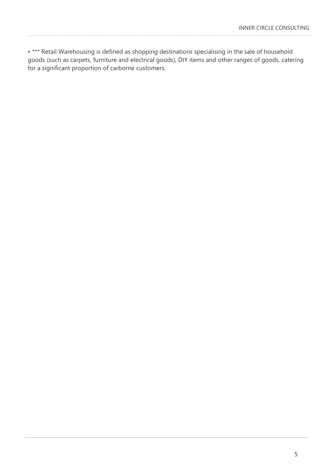. \_ \_ \_ \_ \_ \_ \_ \_ \_ \_ \_ \_ \_ \_ \_ \_

• \*\*\* Retail Warehousing is defined as shopping destinations specialising in the sale of household goods (such as carpets, furniture and electrical goods), DIY items and other ranges of goods, catering for a significant proportion of carborne customers.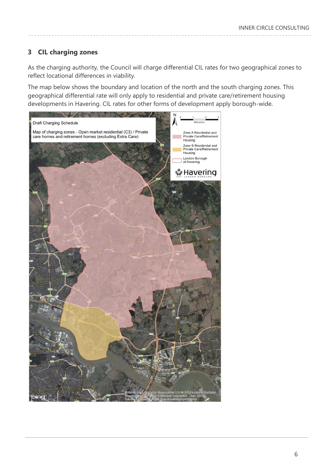#### **3 CIL charging zones**

As the charging authority, the Council will charge differential CIL rates for two geographical zones to reflect locational differences in viability.

The map below shows the boundary and location of the north and the south charging zones. This geographical differential rate will only apply to residential and private care/retirement housing developments in Havering. CIL rates for other forms of development apply borough-wide.

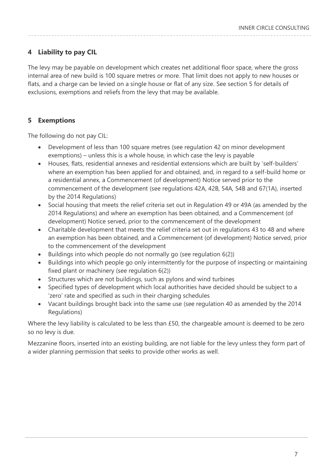#### **4 Liability to pay CIL**

The levy may be payable on development which creates net additional floor space, where the gross internal area of new build is 100 square metres or more. That limit does not apply to new houses or flats, and a charge can be levied on a single house or flat of any size. See section 5 for details of exclusions, exemptions and reliefs from the levy that may be available.

#### **5 Exemptions**

The following do not pay CIL:

- Development of less than 100 square metres (see regulation 42 on minor development exemptions) – unless this is a whole house, in which case the levy is payable
- Houses, flats, residential annexes and residential extensions which are built by 'self-builders' where an exemption has been applied for and obtained, and, in regard to a self-build home or a residential annex, a Commencement (of development) Notice served prior to the commencement of the development (see regulations 42A, 42B, 54A, 54B and 67(1A), inserted by the 2014 Regulations)
- Social housing that meets the relief criteria set out in Regulation 49 or 49A (as amended by the 2014 Regulations) and where an exemption has been obtained, and a Commencement (of development) Notice served, prior to the commencement of the development
- Charitable development that meets the relief criteria set out in regulations 43 to 48 and where an exemption has been obtained, and a Commencement (of development) Notice served, prior to the commencement of the development
- Buildings into which people do not normally go (see regulation 6(2))
- Buildings into which people go only intermittently for the purpose of inspecting or maintaining fixed plant or machinery (see regulation 6(2))
- Structures which are not buildings, such as pylons and wind turbines
- Specified types of development which local authorities have decided should be subject to a 'zero' rate and specified as such in their charging schedules
- Vacant buildings brought back into the same use (see regulation 40 as amended by the 2014 Regulations)

Where the levy liability is calculated to be less than £50, the chargeable amount is deemed to be zero so no levy is due.

Mezzanine floors, inserted into an existing building, are not liable for the levy unless they form part of a wider planning permission that seeks to provide other works as well.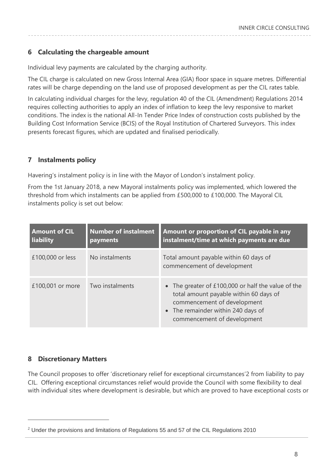#### **6 Calculating the chargeable amount**

Individual levy payments are calculated by the charging authority.

The CIL charge is calculated on new Gross Internal Area (GIA) floor space in square metres. Differential rates will be charge depending on the land use of proposed development as per the CIL rates table.

In calculating individual charges for the levy, regulation 40 of the CIL (Amendment) Regulations 2014 requires collecting authorities to apply an index of inflation to keep the levy responsive to market conditions. The index is the national All-In Tender Price Index of construction costs published by the Building Cost Information Service (BCIS) of the Royal Institution of Chartered Surveyors. This index presents forecast figures, which are updated and finalised periodically.

### **7 Instalments policy**

Havering's instalment policy is in line with the Mayor of London's instalment policy.

From the 1st January 2018, a new Mayoral instalments policy was implemented, which lowered the threshold from which instalments can be applied from £500,000 to £100,000. The Mayoral CIL instalments policy is set out below:

| <b>Amount of CIL</b><br>liability | <b>Number of instalment</b><br>payments | Amount or proportion of CIL payable in any<br>instalment/time at which payments are due                                                                                                          |
|-----------------------------------|-----------------------------------------|--------------------------------------------------------------------------------------------------------------------------------------------------------------------------------------------------|
| £100,000 or less                  | No instalments                          | Total amount payable within 60 days of<br>commencement of development                                                                                                                            |
| £100,001 or more                  | Two instalments                         | • The greater of £100,000 or half the value of the<br>total amount payable within 60 days of<br>commencement of development<br>• The remainder within 240 days of<br>commencement of development |

#### **8 Discretionary Matters**

 $\overline{a}$ 

The Council proposes to offer 'discretionary relief for exceptional circumstances'2 from liability to pay CIL. Offering exceptional circumstances relief would provide the Council with some flexibility to deal with individual sites where development is desirable, but which are proved to have exceptional costs or

 $2$  Under the provisions and limitations of Regulations 55 and 57 of the CIL Regulations 2010